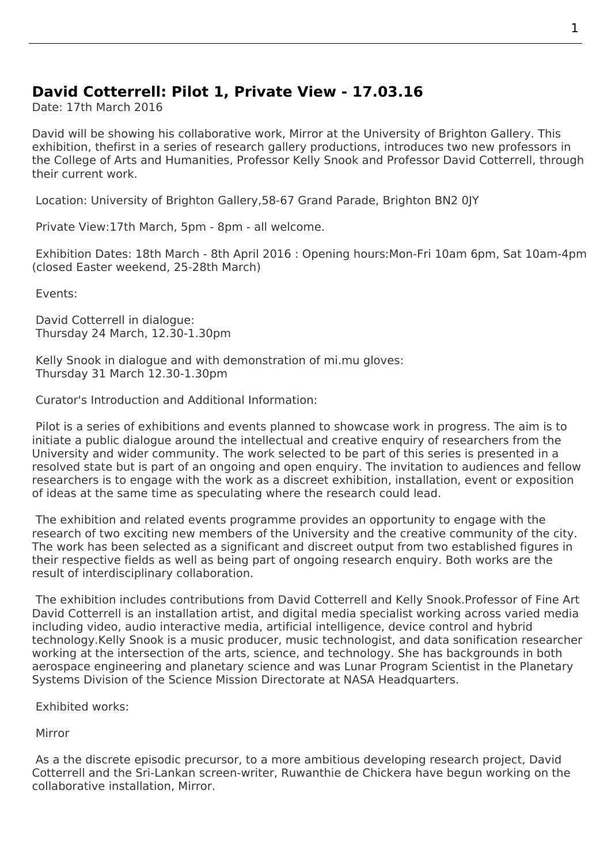## **David Cotterrell: Pilot 1, Private View - 17.03.16**

Date: 17th March 2016

David will be showing his collaborative work, Mirror at the University of Brighton Gallery. This exhibition, thefirst in a series of research gallery productions, introduces two new professors in the College of Arts and Humanities, Professor Kelly Snook and Professor David Cotterrell, through their current work.

Location: University of Brighton Gallery,58-67 Grand Parade, Brighton BN2 0JY

Private View:17th March, 5pm - 8pm - all welcome.

Exhibitio[n Dates: 18th March - 8th April](http://arts.brighton.ac.uk/whats-on?SQ_CALENDAR_VIEW=week&SQ_CALENDAR_DATE=2016-03-14) 2016 : Opening hours:Mon-Fri [10am 6p](https://www.google.co.uk/maps/place/University+Of+Brighton+Gallery/@50.8243264,-0.135561,15z/data=!4m2!3m1!1s0x0:0xb398eb50d5980a69?sa=X&ved=0ahUKEwj6_unLlrnLAhXsCJoKHYVmDkIQ_BIIfDAL)m, Sat 10am-4pm (closed Easter weekend, 25-28th March)

Events:

David Cotterrell in dialogue: Thursday 24 March, 12.30-1.30pm

Kelly Snook in dialogue and with demonstration of mi.mu gloves: Thursday 31 March 12.30-1.30pm

Curator's Introduction and Additional Information:

 Pilot is a series of exhibitions and events planned to showcase work in progress. The aim is to initiate a public dialogue around the intellectual and creative enquiry of researchers from the University and wider community. The work selected to be part of this series is presented in a resolved state but is part of an ongoing and open enquiry. The invitation to audiences and fellow researchers is to engage with the work as a discreet exhibition, installation, event or exposition of ideas at the same time as speculating where the research could lead.

 The exhibition and related events programme provides an opportunity to engage with the research of two exciting new members of the University and the creative community of the city. The work has been selected as a significant and discreet output from two established figures in their respective fields as well as being part of ongoing research enquiry. Both works are the result of interdisciplinary collaboration.

 The exhibition includes contributions from David Cotterrell and Kelly Snook.Professor of Fine Art David Cotterrell is an installation artist, and digital media specialist working across varied media including video, audio interactive media, artificial intelligence, device control and hybrid technology.Kelly Snook is a music producer, music technologist, and data sonification researcher working at the intersection of the arts, science, and technology. She has backgrounds in both aerospace engineering and planetary science and was Lunar Program Scientist in the Planetary Systems Division of the Science Mission Directorate at NASA Headquarters.

Exhibited works:

Mirror

 As a the discrete episodic precursor, to a more ambitious developing research project, David Cotterrell and the Sri-Lankan screen-writer, Ruwanthie de Chickera have begun working on the collaborative installation, Mirror.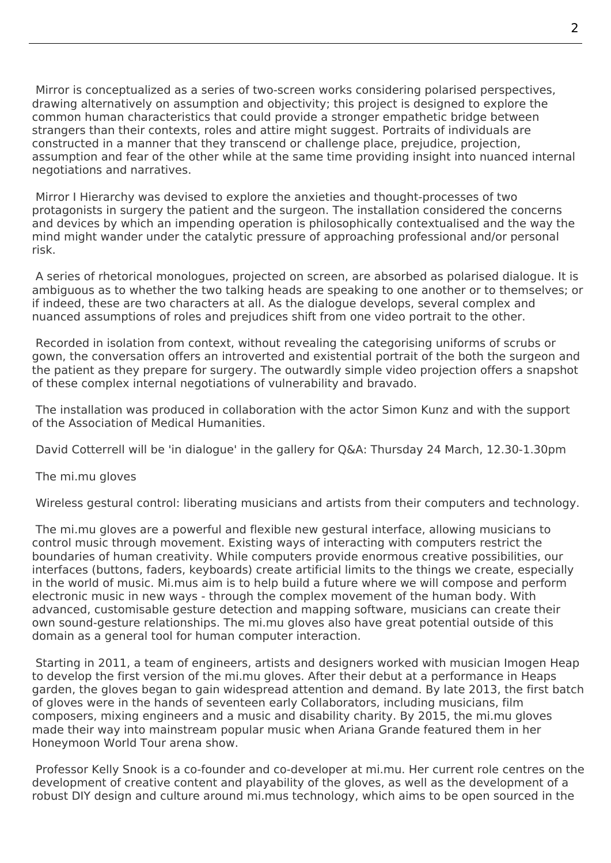Mirror is conceptualized as a series of two-screen works considering polarised perspectives, drawing alternatively on assumption and objectivity; this project is designed to explore the common human characteristics that could provide a stronger empathetic bridge between strangers than their contexts, roles and attire might suggest. Portraits of individuals are constructed in a manner that they transcend or challenge place, prejudice, projection, assumption and fear of the other while at the same time providing insight into nuanced internal negotiations and narratives.

 Mirror I Hierarchy was devised to explore the anxieties and thought-processes of two protagonists in surgery the patient and the surgeon. The installation considered the concerns and devices by which an impending operation is philosophically contextualised and the way the mind might wander under the catalytic pressure of approaching professional and/or personal risk.

 A series of rhetorical monologues, projected on screen, are absorbed as polarised dialogue. It is ambiguous as to whether the two talking heads are speaking to one another or to themselves; or if indeed, these are two characters at all. As the dialogue develops, several complex and nuanced assumptions of roles and prejudices shift from one video portrait to the other.

 Recorded in isolation from context, without revealing the categorising uniforms of scrubs or gown, the conversation offers an introverted and existential portrait of the both the surgeon and the patient as they prepare for surgery. The outwardly simple video projection offers a snapshot of these complex internal negotiations of vulnerability and bravado.

 The installation was produced in collaboration with the actor Simon Kunz and with the support of the Association of Medical Humanities.

David Cotterrell will be 'in dialogue' in the gallery for Q&A: Thursday 24 March, 12.30-1.30pm

The mi.mu gloves

Wireless gestural control: liberating musicians and artists from their computers and technology.

 The mi.mu gloves are a powerful and flexible new gestural interface, allowing musicians to control music through movement. Existing ways of interacting with computers restrict the boundaries of human creativity. While computers provide enormous creative possibilities, our interfaces (buttons, faders, keyboards) create artificial limits to the things we create, especially in the world of music. Mi.mus aim is to help build a future where we will compose and perform electronic music in new ways - through the complex movement of the human body. With advanced, customisable gesture detection and mapping software, musicians can create their own sound-gesture relationships. The mi.mu gloves also have great potential outside of this domain as a general tool for human computer interaction.

 Starting in 2011, a team of engineers, artists and designers worked with musician Imogen Heap to develop the first version of the mi.mu gloves. After their debut at a performance in Heaps garden, the gloves began to gain widespread attention and demand. By late 2013, the first batch of gloves were in the hands of seventeen early Collaborators, including musicians, film composers, mixing engineers and a music and disability charity. By 2015, the mi.mu gloves made their way into mainstream popular music when Ariana Grande featured them in her Honeymoon World Tour arena show.

 Professor Kelly Snook is a co-founder and co-developer at mi.mu. Her current role centres on the development of creative content and playability of the gloves, as well as the development of a robust DIY design and culture around mi.mus technology, which aims to be open sourced in the